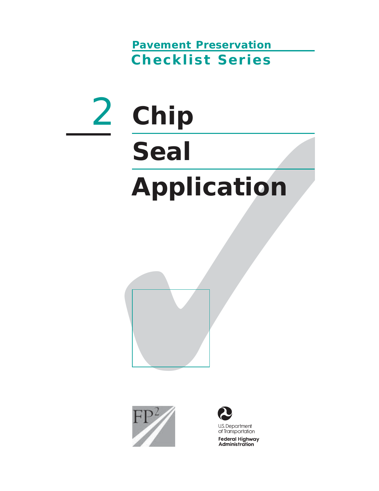**Pavement Preservation Checklist Series**

# Chip<br>Seal<br>Application<br>FP/2 2 **Chip Seal Application**





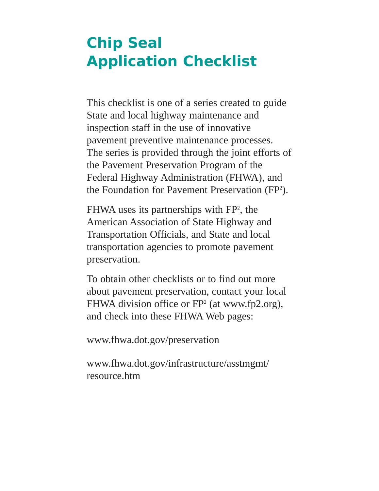# **Chip Seal Application Checklist**

This checklist is one of a series created to guide State and local highway maintenance and inspection staff in the use of innovative pavement preventive maintenance processes. The series is provided through the joint efforts of the Pavement Preservation Program of the Federal Highway Administration (FHWA), and the Foundation for Pavement Preservation (FP<sup>2</sup>).

FHWA uses its partnerships with FP<sup>2</sup>, the American Association of State Highway and Transportation Officials, and State and local transportation agencies to promote pavement preservation.

To obtain other checklists or to find out more about pavement preservation, contact your local FHWA division office or  $FP^2$  (at www.fp2.org), and check into these FHWA Web pages:

www.fhwa.dot.gov/preservation

www.fhwa.dot.gov/infrastructure/asstmgmt/ resource.htm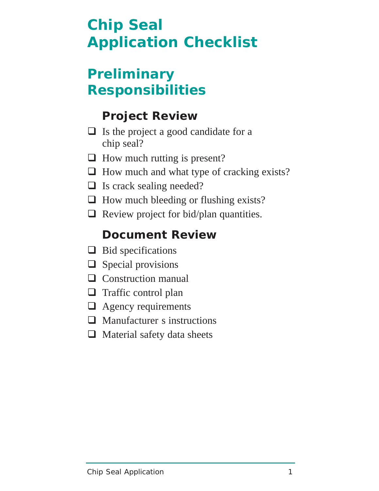# **Chip Seal Application Checklist**

## **Preliminary Responsibilities**

## **Project Review**

- $\Box$  Is the project a good candidate for a chip seal?
- $\Box$  How much rutting is present?
- $\Box$  How much and what type of cracking exists?
- $\Box$  Is crack sealing needed?
- $\Box$  How much bleeding or flushing exists?
- $\Box$  Review project for bid/plan quantities.

## **Document Review**

- $\Box$  Bid specifications
- $\Box$  Special provisions
- $\Box$  Construction manual
- $\Box$  Traffic control plan
- **Example 2** Agency requirements
- Manufacturer s instructions
- $\Box$  Material safety data sheets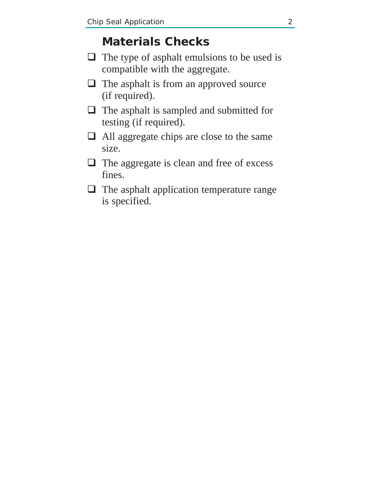#### **Materials Checks**

- $\Box$  The type of asphalt emulsions to be used is compatible with the aggregate.
- $\Box$  The asphalt is from an approved source (if required).
- $\Box$  The asphalt is sampled and submitted for testing (if required).
- All aggregate chips are close to the same size.
- $\Box$  The aggregate is clean and free of excess fines.
- $\Box$  The asphalt application temperature range is specified.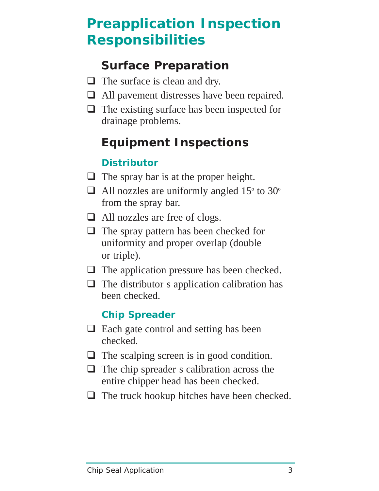# **Preapplication Inspection Responsibilities**

#### **Surface Preparation**

- $\Box$  The surface is clean and dry.
- □ All pavement distresses have been repaired.
- $\Box$  The existing surface has been inspected for drainage problems.

#### **Equipment Inspections**

#### **Distributor**

- $\Box$  The spray bar is at the proper height.
- $\Box$  All nozzles are uniformly angled 15<sup>o</sup> to 30<sup>o</sup> from the spray bar.
- All nozzles are free of clogs.
- $\Box$  The spray pattern has been checked for uniformity and proper overlap (double or triple).
- $\Box$  The application pressure has been checked.
- $\Box$  The distributor s application calibration has been checked.

#### **Chip Spreader**

- $\Box$  Each gate control and setting has been checked.
- $\Box$  The scalping screen is in good condition.
- $\Box$  The chip spreader s calibration across the entire chipper head has been checked.
- $\Box$  The truck hookup hitches have been checked.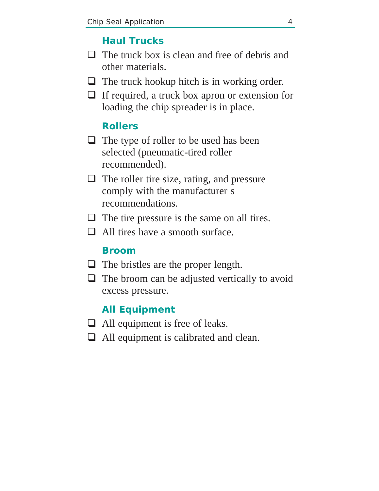#### **Haul Trucks**

- $\Box$  The truck box is clean and free of debris and other materials.
- $\Box$  The truck hookup hitch is in working order.
- $\Box$  If required, a truck box apron or extension for loading the chip spreader is in place.

#### **Rollers**

- $\Box$  The type of roller to be used has been selected (pneumatic-tired roller recommended).
- $\Box$  The roller tire size, rating, and pressure comply with the manufacturer s recommendations.
- $\Box$  The tire pressure is the same on all tires.
- $\Box$  All tires have a smooth surface.

#### **Broom**

- $\Box$  The bristles are the proper length.
- $\Box$  The broom can be adjusted vertically to avoid excess pressure.

#### **All Equipment**

- $\Box$  All equipment is free of leaks.
- □ All equipment is calibrated and clean.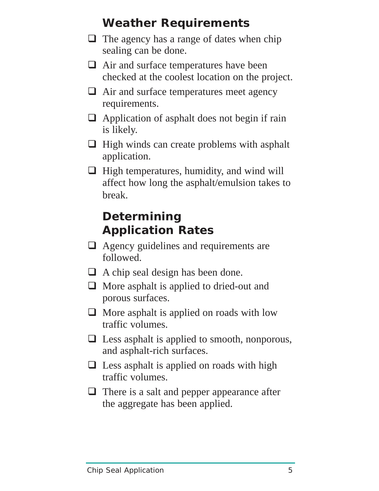## **Weather Requirements**

- $\Box$  The agency has a range of dates when chip sealing can be done.
- $\Box$  Air and surface temperatures have been checked at the coolest location on the project.
- $\Box$  Air and surface temperatures meet agency requirements.
- $\Box$  Application of asphalt does not begin if rain is likely.
- $\Box$  High winds can create problems with asphalt application.
- $\Box$  High temperatures, humidity, and wind will affect how long the asphalt/emulsion takes to break.

## **Determining Application Rates**

- □ Agency guidelines and requirements are followed.
- $\Box$  A chip seal design has been done.
- $\Box$  More asphalt is applied to dried-out and porous surfaces.
- $\Box$  More asphalt is applied on roads with low traffic volumes.
- $\Box$  Less asphalt is applied to smooth, nonporous, and asphalt-rich surfaces.
- $\Box$  Less asphalt is applied on roads with high traffic volumes.
- $\Box$  There is a salt and pepper appearance after the aggregate has been applied.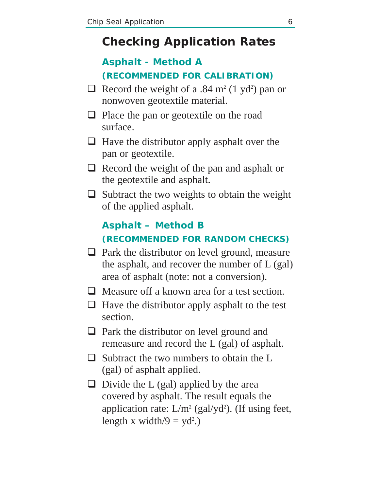#### **Checking Application Rates**

#### **Asphalt - Method A (RECOMMENDED FOR CALIBRATION)**

- $\Box$  Record the weight of a .84 m<sup>2</sup> (1 yd<sup>2</sup>) pan or nonwoven geotextile material.
- $\Box$  Place the pan or geotextile on the road surface.
- $\Box$  Have the distributor apply asphalt over the pan or geotextile.
- $\Box$  Record the weight of the pan and asphalt or the geotextile and asphalt.
- $\Box$  Subtract the two weights to obtain the weight of the applied asphalt.

#### **Asphalt – Method B (RECOMMENDED FOR RANDOM CHECKS)**

- $\Box$  Park the distributor on level ground, measure the asphalt, and recover the number of L (gal) area of asphalt (note: not a conversion).
- $\Box$  Measure off a known area for a test section.
- $\Box$  Have the distributor apply asphalt to the test section.
- □ Park the distributor on level ground and remeasure and record the L (gal) of asphalt.
- $\Box$  Subtract the two numbers to obtain the L (gal) of asphalt applied.
- $\Box$  Divide the L (gal) applied by the area covered by asphalt. The result equals the application rate:  $L/m^2$  (gal/yd<sup>2</sup>). (If using feet, length x width/9 =  $yd^2$ .)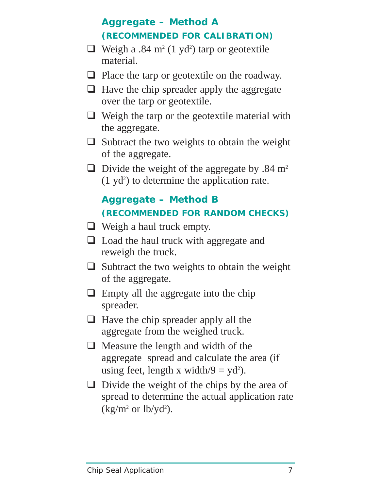#### **Aggregate – Method A (RECOMMENDED FOR CALIBRATION)**

- $\Box$  Weigh a .84 m<sup>2</sup> (1 yd<sup>2</sup>) tarp or geotextile material.
- $\Box$  Place the tarp or geotextile on the roadway.
- $\Box$  Have the chip spreader apply the aggregate over the tarp or geotextile.
- $\Box$  Weigh the tarp or the geotextile material with the aggregate.
- $\Box$  Subtract the two weights to obtain the weight of the aggregate.
- $\Box$  Divide the weight of the aggregate by .84 m<sup>2</sup>  $(1 \text{ yd}^2)$  to determine the application rate.

#### **Aggregate – Method B (RECOMMENDED FOR RANDOM CHECKS)**

- $\Box$  Weigh a haul truck empty.
- □ Load the haul truck with aggregate and reweigh the truck.
- $\Box$  Subtract the two weights to obtain the weight of the aggregate.
- $\Box$  Empty all the aggregate into the chip spreader.
- $\Box$  Have the chip spreader apply all the aggregate from the weighed truck.
- $\Box$  Measure the length and width of the aggregate spread and calculate the area (if using feet, length x width/9 =  $yd^2$ ).
- $\Box$  Divide the weight of the chips by the area of spread to determine the actual application rate  $(kg/m^2 \text{ or } lb/yd^2)$ .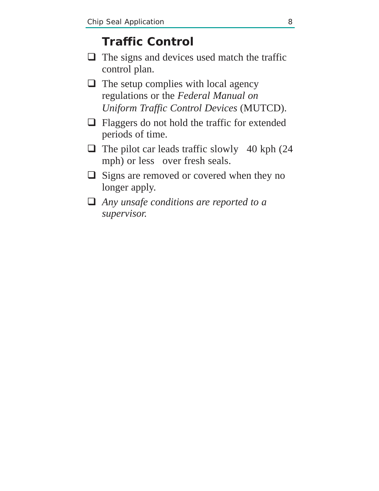#### **Traffic Control**

- $\Box$  The signs and devices used match the traffic control plan.
- $\Box$  The setup complies with local agency regulations or the *Federal Manual on Uniform Traffic Control Devices* (MUTCD).
- $\Box$  Flaggers do not hold the traffic for extended periods of time.
- $\Box$  The pilot car leads traffic slowly 40 kph (24) mph) or less over fresh seals.
- $\Box$  Signs are removed or covered when they no longer apply.
- *Any unsafe conditions are reported to a supervisor.*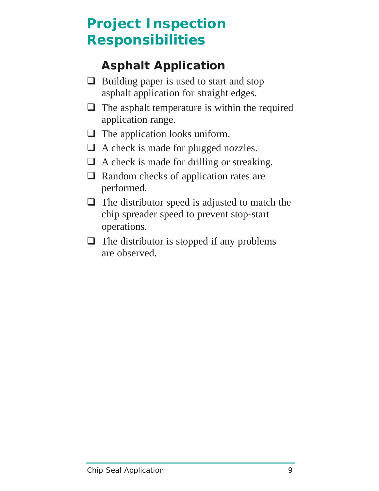# **Project Inspection Responsibilities**

## **Asphalt Application**

- $\Box$  Building paper is used to start and stop asphalt application for straight edges.
- $\Box$  The asphalt temperature is within the required application range.
- $\Box$  The application looks uniform.
- □ A check is made for plugged nozzles.
- $\Box$  A check is made for drilling or streaking.
- $\Box$  Random checks of application rates are performed.
- $\Box$  The distributor speed is adjusted to match the chip spreader speed to prevent stop-start operations.
- $\Box$  The distributor is stopped if any problems are observed.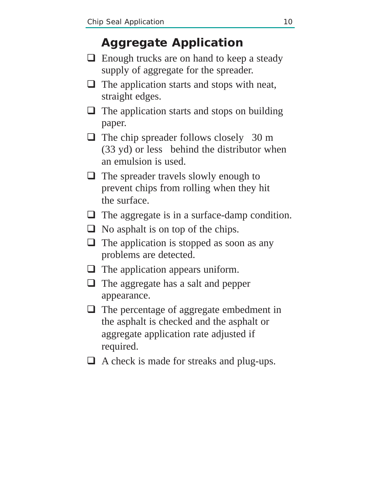#### **Aggregate Application**

- $\Box$  Enough trucks are on hand to keep a steady supply of aggregate for the spreader.
- $\Box$  The application starts and stops with neat, straight edges.
- $\Box$  The application starts and stops on building paper.
- $\Box$  The chip spreader follows closely 30 m (33 yd) or less behind the distributor when an emulsion is used.
- $\Box$  The spreader travels slowly enough to prevent chips from rolling when they hit the surface.
- $\Box$  The aggregate is in a surface-damp condition.
- $\Box$  No asphalt is on top of the chips.
- $\Box$  The application is stopped as soon as any problems are detected.
- $\Box$  The application appears uniform.
- □ The aggregate has a salt and pepper appearance.
- $\Box$  The percentage of aggregate embedment in the asphalt is checked and the asphalt or aggregate application rate adjusted if required.
- $\Box$  A check is made for streaks and plug-ups.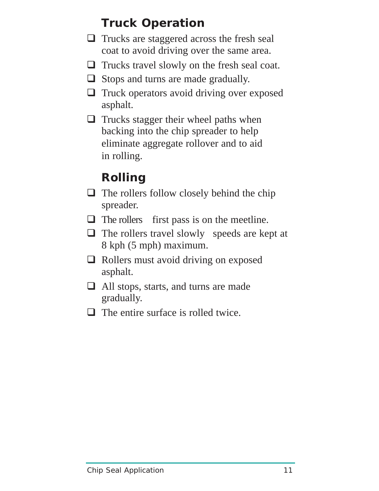## **Truck Operation**

- $\Box$  Trucks are staggered across the fresh seal coat to avoid driving over the same area.
- $\Box$  Trucks travel slowly on the fresh seal coat.
- $\Box$  Stops and turns are made gradually.
- **Truck operators avoid driving over exposed** asphalt.
- $\Box$  Trucks stagger their wheel paths when backing into the chip spreader to help eliminate aggregate rollover and to aid in rolling.

## **Rolling**

- $\Box$  The rollers follow closely behind the chip spreader.
- $\Box$  The rollers first pass is on the meetline.
- $\Box$  The rollers travel slowly speeds are kept at 8 kph (5 mph) maximum.
- $\Box$  Rollers must avoid driving on exposed asphalt.
- All stops, starts, and turns are made gradually.
- $\Box$  The entire surface is rolled twice.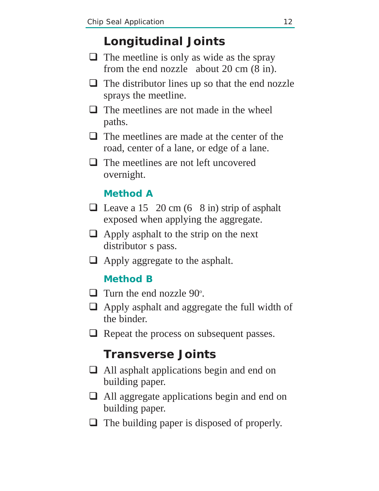#### **Longitudinal Joints**

- $\Box$  The meetline is only as wide as the spray from the end nozzle about 20 cm (8 in).
- $\Box$  The distributor lines up so that the end nozzle sprays the meetline.
- $\Box$  The meetlines are not made in the wheel paths.
- $\Box$  The meetlines are made at the center of the road, center of a lane, or edge of a lane.
- $\Box$  The meetlines are not left uncovered overnight.

#### **Method A**

- $\Box$  Leave a 15 20 cm (6 8 in) strip of asphalt exposed when applying the aggregate.
- $\Box$  Apply asphalt to the strip on the next distributor s pass.
- $\Box$  Apply aggregate to the asphalt.

#### **Method B**

- $\Box$  Turn the end nozzle 90 $^{\circ}$ .
- Apply asphalt and aggregate the full width of the binder.
- □ Repeat the process on subsequent passes.

#### **Transverse Joints**

- All asphalt applications begin and end on building paper.
- All aggregate applications begin and end on building paper.
- $\Box$  The building paper is disposed of properly.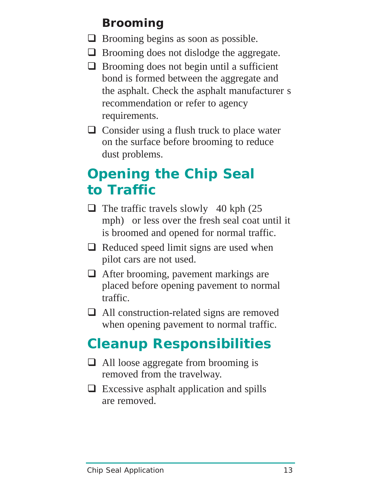## **Brooming**

- $\Box$  Brooming begins as soon as possible.
- $\Box$  Brooming does not dislodge the aggregate.
- $\Box$  Brooming does not begin until a sufficient bond is formed between the aggregate and the asphalt. Check the asphalt manufacturer s recommendation or refer to agency requirements.
- $\Box$  Consider using a flush truck to place water on the surface before brooming to reduce dust problems.

# **Opening the Chip Seal to Traffic**

- $\Box$  The traffic travels slowly 40 kph (25) mph) or less over the fresh seal coat until it is broomed and opened for normal traffic.
- $\Box$  Reduced speed limit signs are used when pilot cars are not used.
- □ After brooming, pavement markings are placed before opening pavement to normal traffic.
- □ All construction-related signs are removed when opening pavement to normal traffic.

# **Cleanup Responsibilities**

- $\Box$  All loose aggregate from brooming is removed from the travelway.
- $\Box$  Excessive asphalt application and spills are removed.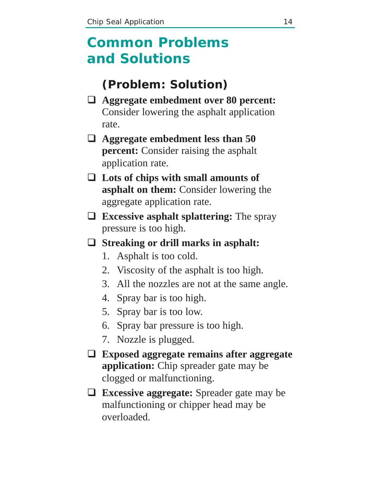## **Common Problems and Solutions**

#### **(Problem: Solution)**

- **Aggregate embedment over 80 percent:** Consider lowering the asphalt application rate.
- **Aggregate embedment less than 50 percent:** Consider raising the asphalt application rate.
- **Lots of chips with small amounts of asphalt on them:** Consider lowering the aggregate application rate.
- **Excessive asphalt splattering:** The spray pressure is too high.

#### **Streaking or drill marks in asphalt:**

- 1. Asphalt is too cold.
- 2. Viscosity of the asphalt is too high.
- 3. All the nozzles are not at the same angle.
- 4. Spray bar is too high.
- 5. Spray bar is too low.
- 6. Spray bar pressure is too high.
- 7. Nozzle is plugged.
- **Exposed aggregate remains after aggregate application:** Chip spreader gate may be clogged or malfunctioning.
- **Excessive aggregate:** Spreader gate may be malfunctioning or chipper head may be overloaded.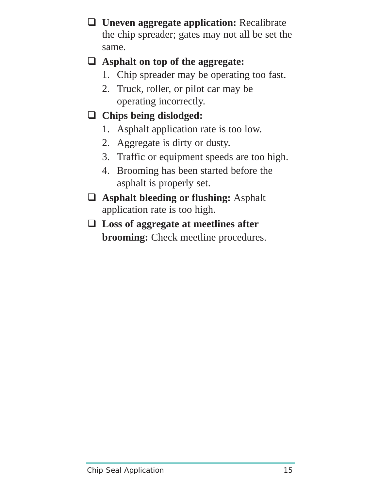**Uneven aggregate application:** Recalibrate the chip spreader; gates may not all be set the same.

#### **Asphalt on top of the aggregate:**

- 1. Chip spreader may be operating too fast.
- 2. Truck, roller, or pilot car may be operating incorrectly.
- **Chips being dislodged:**
	- 1. Asphalt application rate is too low.
	- 2. Aggregate is dirty or dusty.
	- 3. Traffic or equipment speeds are too high.
	- 4. Brooming has been started before the asphalt is properly set.
- **Asphalt bleeding or flushing:** Asphalt application rate is too high.
- **Loss of aggregate at meetlines after brooming:** Check meetline procedures.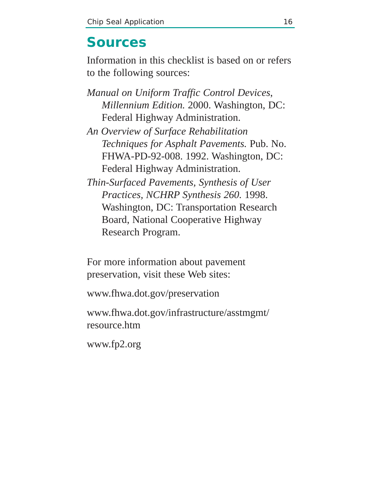## **Sources**

Information in this checklist is based on or refers to the following sources:

- *Manual on Uniform Traffic Control Devices*, *Millennium Edition.* 2000. Washington, DC: Federal Highway Administration.
- *An Overview of Surface Rehabilitation Techniques for Asphalt Pavements.* Pub. No. FHWA-PD-92-008. 1992. Washington, DC: Federal Highway Administration.
- *Thin-Surfaced Pavements, Synthesis of User Practices, NCHRP Synthesis 260.* 1998. Washington, DC: Transportation Research Board, National Cooperative Highway Research Program.

For more information about pavement preservation, visit these Web sites:

www.fhwa.dot.gov/preservation

www.fhwa.dot.gov/infrastructure/asstmgmt/ resource.htm

www.fp2.org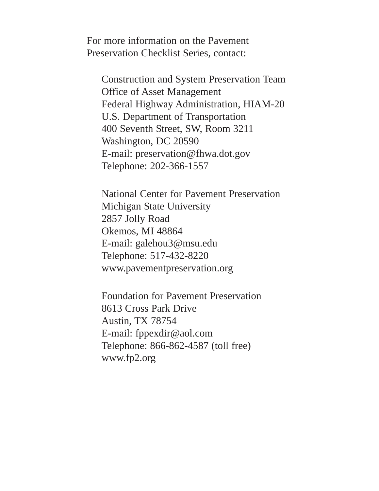For more information on the Pavement Preservation Checklist Series, contact:

Construction and System Preservation Team Office of Asset Management Federal Highway Administration, HIAM-20 U.S. Department of Transportation 400 Seventh Street, SW, Room 3211 Washington, DC 20590 E-mail: preservation@fhwa.dot.gov Telephone: 202-366-1557

National Center for Pavement Preservation Michigan State University 2857 Jolly Road Okemos, MI 48864 E-mail: galehou3@msu.edu Telephone: 517-432-8220 www.pavementpreservation.org

Foundation for Pavement Preservation 8613 Cross Park Drive Austin, TX 78754 E-mail: fppexdir@aol.com Telephone: 866-862-4587 (toll free) www.fp2.org